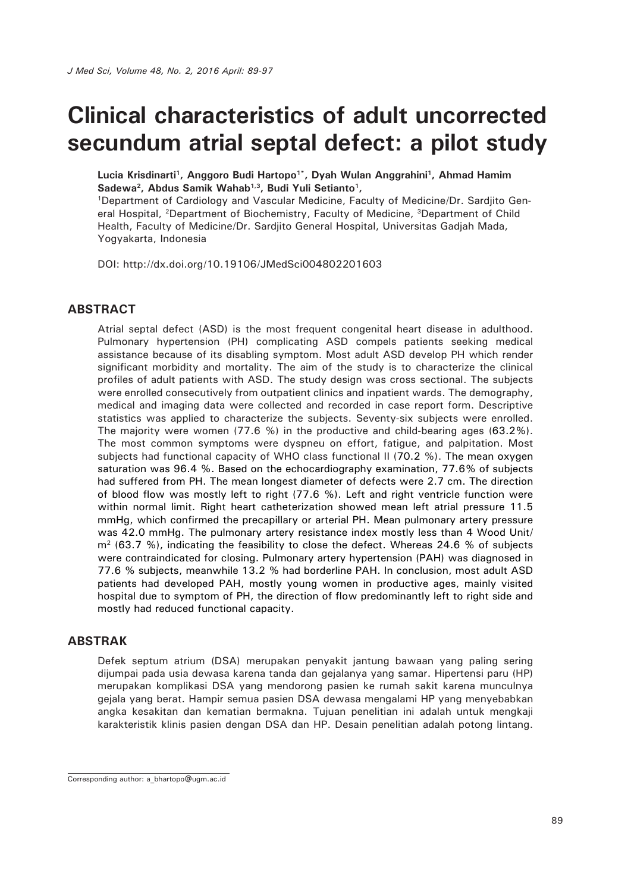# **Clinical characteristics of adult uncorrected secundum atrial septal defect: a pilot study**

**Lucia Krisdinarti1, Anggoro Budi Hartopo1\*, Dyah Wulan Anggrahini1, Ahmad Hamim**  Sadewa<sup>2</sup>, Abdus Samik Wahab<sup>1,3</sup>, Budi Yuli Setianto<sup>1</sup>,

1Department of Cardiology and Vascular Medicine, Faculty of Medicine/Dr. Sardjito General Hospital, 2Department of Biochemistry, Faculty of Medicine, 3Department of Child Health, Faculty of Medicine/Dr. Sardjito General Hospital, Universitas Gadjah Mada, Yogyakarta, Indonesia

DOI: http://dx.doi.org/10.19106/JMedSci004802201603

#### **ABSTRACT**

Atrial septal defect (ASD) is the most frequent congenital heart disease in adulthood. Pulmonary hypertension (PH) complicating ASD compels patients seeking medical assistance because of its disabling symptom. Most adult ASD develop PH which render significant morbidity and mortality. The aim of the study is to characterize the clinical profiles of adult patients with ASD. The study design was cross sectional. The subjects were enrolled consecutively from outpatient clinics and inpatient wards. The demography, medical and imaging data were collected and recorded in case report form. Descriptive statistics was applied to characterize the subjects. Seventy-six subjects were enrolled. The majority were women (77.6 %) in the productive and child-bearing ages (63.2%). The most common symptoms were dyspneu on effort, fatigue, and palpitation. Most subjects had functional capacity of WHO class functional II (70.2 %). The mean oxygen saturation was 96.4 %. Based on the echocardiography examination, 77.6% of subjects had suffered from PH. The mean longest diameter of defects were 2.7 cm. The direction of blood flow was mostly left to right (77.6 %). Left and right ventricle function were within normal limit. Right heart catheterization showed mean left atrial pressure 11.5 mmHg, which confirmed the precapillary or arterial PH. Mean pulmonary artery pressure was 42.0 mmHg. The pulmonary artery resistance index mostly less than 4 Wood Unit/  $m<sup>2</sup>$  (63.7 %), indicating the feasibility to close the defect. Whereas 24.6 % of subjects were contraindicated for closing. Pulmonary artery hypertension (PAH) was diagnosed in 77.6 % subjects, meanwhile 13.2 % had borderline PAH. In conclusion, most adult ASD patients had developed PAH, mostly young women in productive ages, mainly visited hospital due to symptom of PH, the direction of flow predominantly left to right side and mostly had reduced functional capacity.

#### **ABSTRAK**

Defek septum atrium (DSA) merupakan penyakit jantung bawaan yang paling sering dijumpai pada usia dewasa karena tanda dan gejalanya yang samar. Hipertensi paru (HP) merupakan komplikasi DSA yang mendorong pasien ke rumah sakit karena munculnya gejala yang berat. Hampir semua pasien DSA dewasa mengalami HP yang menyebabkan angka kesakitan dan kematian bermakna. Tujuan penelitian ini adalah untuk mengkaji karakteristik klinis pasien dengan DSA dan HP. Desain penelitian adalah potong lintang.

Corresponding author: a\_bhartopo@ugm.ac.id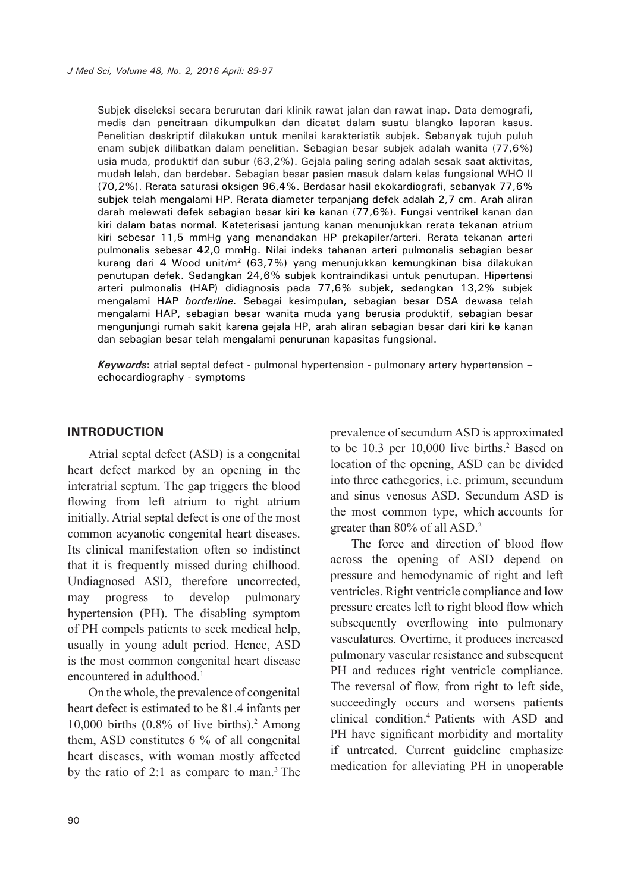Subjek diseleksi secara berurutan dari klinik rawat jalan dan rawat inap. Data demografi, medis dan pencitraan dikumpulkan dan dicatat dalam suatu blangko laporan kasus. Penelitian deskriptif dilakukan untuk menilai karakteristik subjek. Sebanyak tujuh puluh enam subjek dilibatkan dalam penelitian. Sebagian besar subjek adalah wanita (77,6%) usia muda, produktif dan subur (63,2%). Gejala paling sering adalah sesak saat aktivitas, mudah lelah, dan berdebar. Sebagian besar pasien masuk dalam kelas fungsional WHO II (70,2%). Rerata saturasi oksigen 96,4%. Berdasar hasil ekokardiografi, sebanyak 77,6% subjek telah mengalami HP. Rerata diameter terpanjang defek adalah 2,7 cm. Arah aliran darah melewati defek sebagian besar kiri ke kanan (77,6%). Fungsi ventrikel kanan dan kiri dalam batas normal. Kateterisasi jantung kanan menunjukkan rerata tekanan atrium kiri sebesar 11,5 mmHg yang menandakan HP prekapiler/arteri. Rerata tekanan arteri pulmonalis sebesar 42,0 mmHg. Nilai indeks tahanan arteri pulmonalis sebagian besar kurang dari 4 Wood unit/m2 (63,7%) yang menunjukkan kemungkinan bisa dilakukan penutupan defek. Sedangkan 24,6% subjek kontraindikasi untuk penutupan. Hipertensi arteri pulmonalis (HAP) didiagnosis pada 77,6% subjek, sedangkan 13,2% subjek mengalami HAP *borderline.* Sebagai kesimpulan, sebagian besar DSA dewasa telah mengalami HAP, sebagian besar wanita muda yang berusia produktif, sebagian besar mengunjungi rumah sakit karena gejala HP, arah aliran sebagian besar dari kiri ke kanan dan sebagian besar telah mengalami penurunan kapasitas fungsional.

*Keywords***:** atrial septal defect - pulmonal hypertension - pulmonary artery hypertension – echocardiography - symptoms

#### **INTRODUCTION**

Atrial septal defect (ASD) is a congenital heart defect marked by an opening in the interatrial septum. The gap triggers the blood flowing from left atrium to right atrium initially. Atrial septal defect is one of the most common acyanotic congenital heart diseases. Its clinical manifestation often so indistinct that it is frequently missed during chilhood. Undiagnosed ASD, therefore uncorrected, may progress to develop pulmonary hypertension (PH). The disabling symptom of PH compels patients to seek medical help, usually in young adult period. Hence, ASD is the most common congenital heart disease encountered in adulthood.<sup>1</sup>

On the whole, the prevalence of congenital heart defect is estimated to be 81.4 infants per 10,000 births  $(0.8\% \text{ of live births})$ .<sup>2</sup> Among them, ASD constitutes 6 % of all congenital heart diseases, with woman mostly affected by the ratio of 2:1 as compare to man.<sup>3</sup> The

prevalence of secundum ASD is approximated to be 10.3 per 10,000 live births.<sup>2</sup> Based on location of the opening, ASD can be divided into three cathegories, i.e. primum, secundum and sinus venosus ASD. Secundum ASD is the most common type, which accounts for greater than 80% of all ASD.2

The force and direction of blood flow across the opening of ASD depend on pressure and hemodynamic of right and left ventricles. Right ventricle compliance and low pressure creates left to right blood flow which subsequently overflowing into pulmonary vasculatures. Overtime, it produces increased pulmonary vascular resistance and subsequent PH and reduces right ventricle compliance. The reversal of flow, from right to left side, succeedingly occurs and worsens patients clinical condition.4 Patients with ASD and PH have significant morbidity and mortality if untreated. Current guideline emphasize medication for alleviating PH in unoperable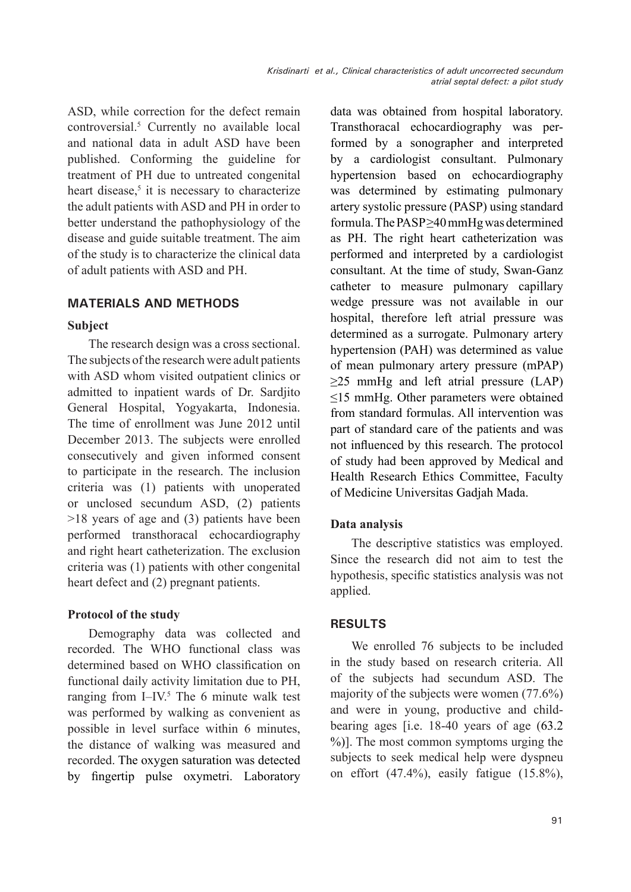ASD, while correction for the defect remain controversial.5 Currently no available local and national data in adult ASD have been published. Conforming the guideline for treatment of PH due to untreated congenital heart disease, $5$  it is necessary to characterize the adult patients with ASD and PH in order to better understand the pathophysiology of the disease and guide suitable treatment. The aim of the study is to characterize the clinical data of adult patients with ASD and PH.

## **MATERIALS AND METHODS**

#### **Subject**

The research design was a cross sectional. The subjects of the research were adult patients with ASD whom visited outpatient clinics or admitted to inpatient wards of Dr. Sardjito General Hospital, Yogyakarta, Indonesia. The time of enrollment was June 2012 until December 2013. The subjects were enrolled consecutively and given informed consent to participate in the research. The inclusion criteria was (1) patients with unoperated or unclosed secundum ASD, (2) patients >18 years of age and (3) patients have been performed transthoracal echocardiography and right heart catheterization. The exclusion criteria was (1) patients with other congenital heart defect and (2) pregnant patients.

## **Protocol of the study**

Demography data was collected and recorded. The WHO functional class was determined based on WHO classification on functional daily activity limitation due to PH, ranging from I–IV.<sup>5</sup> The 6 minute walk test was performed by walking as convenient as possible in level surface within 6 minutes, the distance of walking was measured and recorded. The oxygen saturation was detected by fingertip pulse oxymetri. Laboratory

data was obtained from hospital laboratory. Transthoracal echocardiography was performed by a sonographer and interpreted by a cardiologist consultant. Pulmonary hypertension based on echocardiography was determined by estimating pulmonary artery systolic pressure (PASP) using standard formula. The PASP ≥40 mmHg was determined as PH. The right heart catheterization was performed and interpreted by a cardiologist consultant. At the time of study, Swan-Ganz catheter to measure pulmonary capillary wedge pressure was not available in our hospital, therefore left atrial pressure was determined as a surrogate. Pulmonary artery hypertension (PAH) was determined as value of mean pulmonary artery pressure (mPAP)  $\geq$ 25 mmHg and left atrial pressure (LAP) ≤15 mmHg. Other parameters were obtained from standard formulas. All intervention was part of standard care of the patients and was not influenced by this research. The protocol of study had been approved by Medical and Health Research Ethics Committee, Faculty of Medicine Universitas Gadjah Mada.

## **Data analysis**

The descriptive statistics was employed. Since the research did not aim to test the hypothesis, specific statistics analysis was not applied.

## **RESULTS**

We enrolled 76 subjects to be included in the study based on research criteria. All of the subjects had secundum ASD. The majority of the subjects were women (77.6%) and were in young, productive and childbearing ages [i.e. 18-40 years of age (63.2 %)]. The most common symptoms urging the subjects to seek medical help were dyspneu on effort  $(47.4\%)$ , easily fatigue  $(15.8\%)$ ,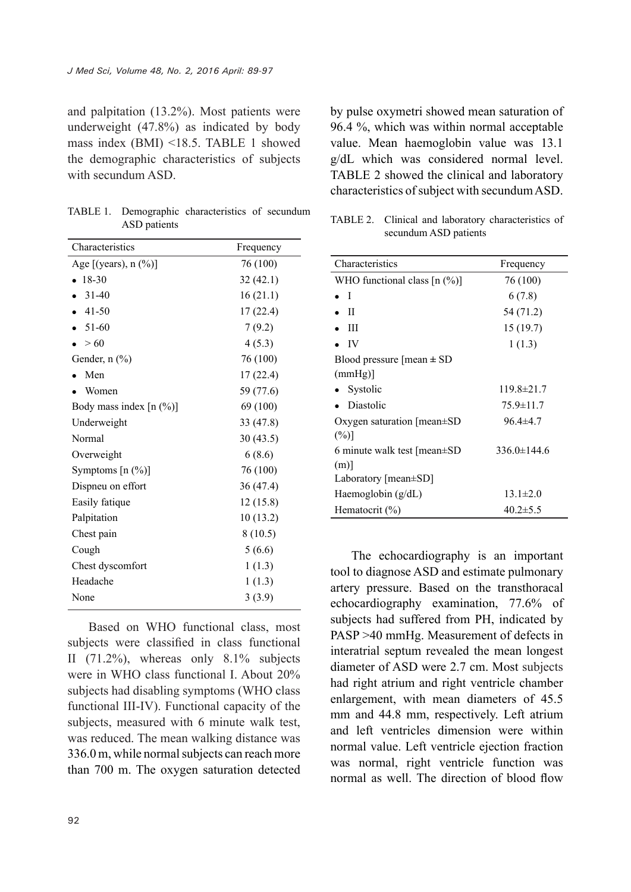and palpitation (13.2%). Most patients were underweight (47.8%) as indicated by body mass index (BMI) <18.5. TABLE 1 showed the demographic characteristics of subjects with secundum ASD.

TABLE 1. Demographic characteristics of secundum ASD patients

| Characteristics           | Frequency |
|---------------------------|-----------|
| Age [(years), n (%)]      | 76 (100)  |
| 18-30                     | 32(42.1)  |
| $31 - 40$                 | 16(21.1)  |
| 41-50                     | 17(22.4)  |
| 51-60                     | 7(9.2)    |
| > 60                      | 4(5.3)    |
| Gender, $n$ $(\%)$        | 76 (100)  |
| Men                       | 17(22.4)  |
| Women                     | 59 (77.6) |
| Body mass index $[n (%)]$ | 69 (100)  |
| Underweight               | 33 (47.8) |
| Normal                    | 30(43.5)  |
| Overweight                | 6(8.6)    |
| Symptoms $[n (\%)]$       | 76 (100)  |
| Dispneu on effort         | 36(47.4)  |
| Easily fatique            | 12(15.8)  |
| Palpitation               | 10(13.2)  |
| Chest pain                | 8(10.5)   |
| Cough                     | 5(6.6)    |
| Chest dyscomfort          | 1(1.3)    |
| Headache                  | 1(1.3)    |
| None                      | 3(3.9)    |

Based on WHO functional class, most subjects were classified in class functional II  $(71.2\%)$ , whereas only  $8.1\%$  subjects were in WHO class functional I. About 20% subjects had disabling symptoms (WHO class functional III-IV). Functional capacity of the subjects, measured with 6 minute walk test, was reduced. The mean walking distance was 336.0 m, while normal subjects can reach more than 700 m. The oxygen saturation detected

by pulse oxymetri showed mean saturation of 96.4 %, which was within normal acceptable value. Mean haemoglobin value was 13.1 g/dL which was considered normal level. TABLE 2 showed the clinical and laboratory characteristics of subject with secundum ASD.

|                       | TABLE 2. Clinical and laboratory characteristics of |  |  |  |
|-----------------------|-----------------------------------------------------|--|--|--|
| secundum ASD patients |                                                     |  |  |  |

| Characteristics                    | Frequency         |  |
|------------------------------------|-------------------|--|
| WHO functional class $[n (\%)]$    | 76 (100)          |  |
| - 1                                | 6(7.8)            |  |
| H                                  | 54 (71.2)         |  |
| Ш                                  | 15(19.7)          |  |
| IV                                 | 1(1.3)            |  |
| Blood pressure [mean $\pm$ SD      |                   |  |
| (mmHg)                             |                   |  |
| Systolic                           | 119.8±21.7        |  |
| Diastolic                          | $75.9 \pm 11.7$   |  |
| Oxygen saturation $[mean \pm SD]$  | $96.4 \pm 4.7$    |  |
| $(\%)$                             |                   |  |
| 6 minute walk test $[mean \pm SD]$ | $336.0 \pm 144.6$ |  |
| (m)                                |                   |  |
| Laboratory [ $mean \pm SD$ ]       |                   |  |
| Haemoglobin $(g/dL)$               | $13.1 \pm 2.0$    |  |
| Hematocrit $(\% )$                 | $40.2 \pm 5.5$    |  |

The echocardiography is an important tool to diagnose ASD and estimate pulmonary artery pressure. Based on the transthoracal echocardiography examination, 77.6% of subjects had suffered from PH, indicated by PASP >40 mmHg. Measurement of defects in interatrial septum revealed the mean longest diameter of ASD were 2.7 cm. Most subjects had right atrium and right ventricle chamber enlargement, with mean diameters of 45.5 mm and 44.8 mm, respectively. Left atrium and left ventricles dimension were within normal value. Left ventricle ejection fraction was normal, right ventricle function was normal as well. The direction of blood flow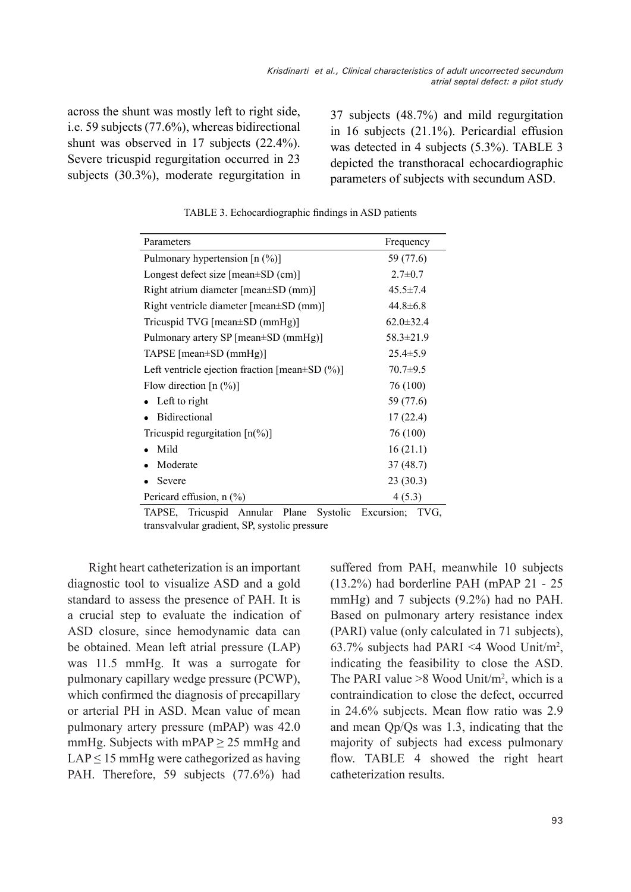across the shunt was mostly left to right side, i.e. 59 subjects (77.6%), whereas bidirectional shunt was observed in 17 subjects (22.4%). Severe tricuspid regurgitation occurred in 23 subjects (30.3%), moderate regurgitation in

37 subjects (48.7%) and mild regurgitation in 16 subjects (21.1%). Pericardial effusion was detected in 4 subjects (5.3%). TABLE 3 depicted the transthoracal echocardiographic parameters of subjects with secundum ASD.

| Parameters                                            | Frequency       |
|-------------------------------------------------------|-----------------|
| Pulmonary hypertension $[n (%)]$                      | 59 (77.6)       |
| Longest defect size $[mean \pm SD (cm)]$              | $2.7 \pm 0.7$   |
| Right atrium diameter [mean±SD (mm)]                  | $45.5 \pm 7.4$  |
| Right ventricle diameter [mean±SD (mm)]               | $44.8 \pm 6.8$  |
| Tricuspid TVG [mean±SD (mmHg)]                        | $62.0 \pm 32.4$ |
| Pulmonary artery SP [mean±SD (mmHg)]                  | $58.3 \pm 21.9$ |
| $TAPSE$ [mean $\pm SD$ (mmHg)]                        | $25.4 \pm 5.9$  |
| Left ventricle ejection fraction [mean $\pm$ SD (%)]  | $70.7 \pm 9.5$  |
| Flow direction $[n (%)]$                              | 76 (100)        |
| Left to right                                         | 59 (77.6)       |
| <b>Bidirectional</b>                                  | 17(22.4)        |
| Tricuspid regurgitation $\lceil n\binom{0}{0} \rceil$ | 76 (100)        |
| Mild                                                  | 16(21.1)        |
| Moderate                                              | 37(48.7)        |
| Severe                                                | 23(30.3)        |
| Pericard effusion, $n$ (%)                            | 4(5.3)          |

TABLE 3. Echocardiographic findings in ASD patients

TAPSE, Tricuspid Annular Plane Systolic Excursion; TVG, transvalvular gradient, SP, systolic pressure

Right heart catheterization is an important diagnostic tool to visualize ASD and a gold standard to assess the presence of PAH. It is a crucial step to evaluate the indication of ASD closure, since hemodynamic data can be obtained. Mean left atrial pressure (LAP) was 11.5 mmHg. It was a surrogate for pulmonary capillary wedge pressure (PCWP), which confirmed the diagnosis of precapillary or arterial PH in ASD. Mean value of mean pulmonary artery pressure (mPAP) was 42.0 mmHg. Subjects with mPAP  $\geq$  25 mmHg and  $LAP \leq 15$  mmHg were cathegorized as having PAH. Therefore, 59 subjects (77.6%) had suffered from PAH, meanwhile 10 subjects (13.2%) had borderline PAH (mPAP 21 - 25 mmHg) and 7 subjects (9.2%) had no PAH. Based on pulmonary artery resistance index (PARI) value (only calculated in 71 subjects), 63.7% subjects had PARI <4 Wood Unit/m<sup>2</sup>, indicating the feasibility to close the ASD. The PARI value  $>8$  Wood Unit/m<sup>2</sup>, which is a contraindication to close the defect, occurred in 24.6% subjects. Mean flow ratio was 2.9 and mean Qp/Qs was 1.3, indicating that the majority of subjects had excess pulmonary flow. TABLE 4 showed the right heart catheterization results.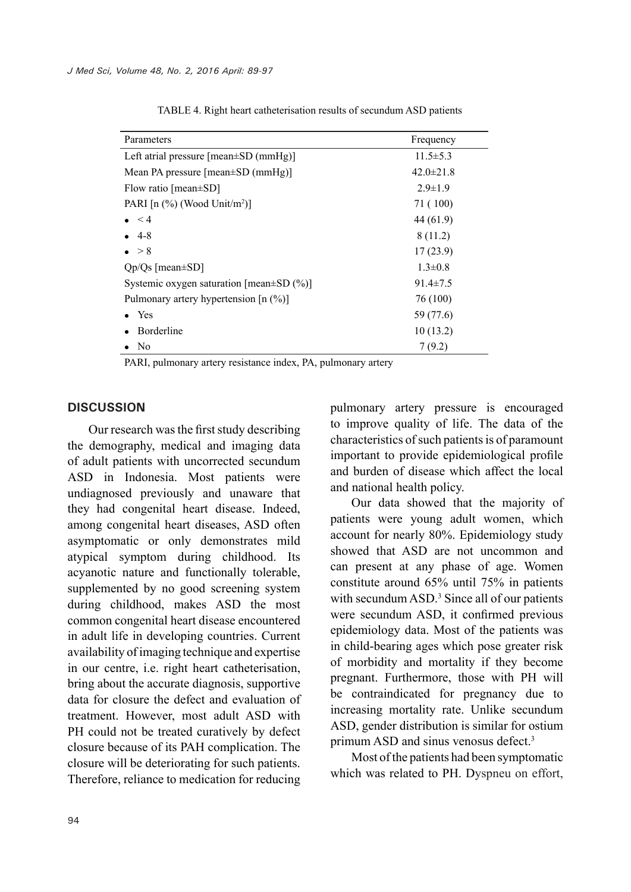| Parameters                                        | Frequency       |
|---------------------------------------------------|-----------------|
| Left atrial pressure $[mean \pm SD (mmHg)]$       | $11.5 \pm 5.3$  |
| Mean PA pressure $[mean \pm SD (mmHg)]$           | $42.0 \pm 21.8$ |
| Flow ratio [ $mean \pm SD$ ]                      | $2.9 \pm 1.9$   |
| PARI $[n \ (\%)$ (Wood Unit/m <sup>2</sup> )]     | 71 (100)        |
| $\leq 4$                                          | 44 (61.9)       |
| -4-8                                              | 8(11.2)         |
| $\bullet > 8$                                     | 17(23.9)        |
| $Qp/Qs$ [mean $\pm SD$ ]                          | $1.3 \pm 0.8$   |
| Systemic oxygen saturation [mean $\pm$ SD $(\%$ ] | $91.4 \pm 7.5$  |
| Pulmonary artery hypertension $[n (%)]$           | 76 (100)        |
| Yes                                               | 59 (77.6)       |
| Borderline                                        | 10(13.2)        |
| N <sub>0</sub>                                    | 7(9.2)          |
|                                                   |                 |

TABLE 4. Right heart catheterisation results of secundum ASD patients

PARI, pulmonary artery resistance index, PA, pulmonary artery

#### **DISCUSSION**

Our research was the first study describing the demography, medical and imaging data of adult patients with uncorrected secundum ASD in Indonesia. Most patients were undiagnosed previously and unaware that they had congenital heart disease. Indeed, among congenital heart diseases, ASD often asymptomatic or only demonstrates mild atypical symptom during childhood. Its acyanotic nature and functionally tolerable, supplemented by no good screening system during childhood, makes ASD the most common congenital heart disease encountered in adult life in developing countries. Current availability of imaging technique and expertise in our centre, i.e. right heart catheterisation, bring about the accurate diagnosis, supportive data for closure the defect and evaluation of treatment. However, most adult ASD with PH could not be treated curatively by defect closure because of its PAH complication. The closure will be deteriorating for such patients. Therefore, reliance to medication for reducing pulmonary artery pressure is encouraged to improve quality of life. The data of the characteristics of such patients is of paramount important to provide epidemiological profile and burden of disease which affect the local and national health policy.

Our data showed that the majority of patients were young adult women, which account for nearly 80%. Epidemiology study showed that ASD are not uncommon and can present at any phase of age. Women constitute around 65% until 75% in patients with secundum ASD.<sup>3</sup> Since all of our patients were secundum ASD, it confirmed previous epidemiology data. Most of the patients was in child-bearing ages which pose greater risk of morbidity and mortality if they become pregnant. Furthermore, those with PH will be contraindicated for pregnancy due to increasing mortality rate. Unlike secundum ASD, gender distribution is similar for ostium primum ASD and sinus venosus defect.<sup>3</sup>

Most of the patients had been symptomatic which was related to PH. Dyspneu on effort,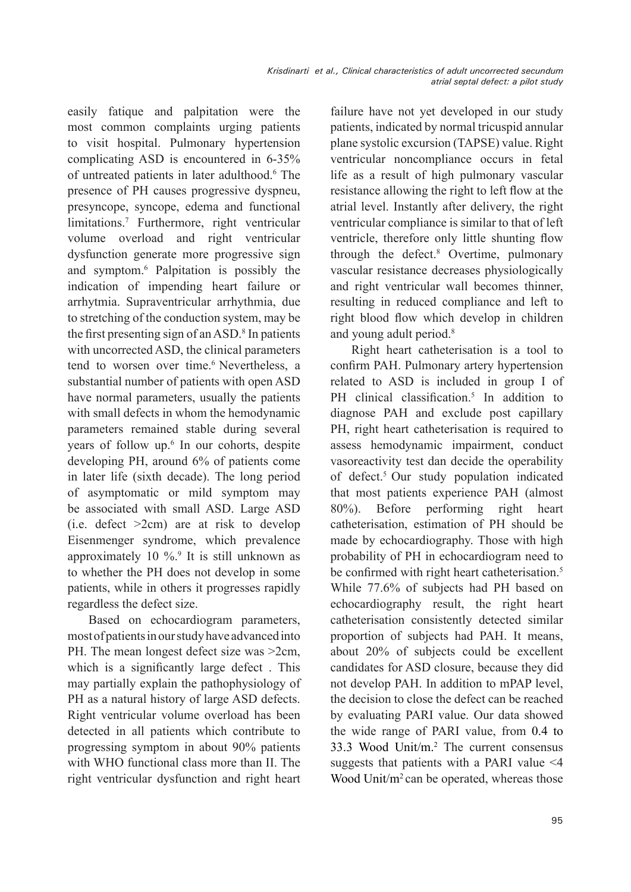easily fatique and palpitation were the most common complaints urging patients to visit hospital. Pulmonary hypertension complicating ASD is encountered in 6-35% of untreated patients in later adulthood.6 The presence of PH causes progressive dyspneu, presyncope, syncope, edema and functional limitations.7 Furthermore, right ventricular volume overload and right ventricular dysfunction generate more progressive sign and symptom.6 Palpitation is possibly the indication of impending heart failure or arrhytmia. Supraventricular arrhythmia, due to stretching of the conduction system, may be the first presenting sign of an ASD. $\textdegree$  In patients with uncorrected ASD, the clinical parameters tend to worsen over time.<sup>6</sup> Nevertheless, a substantial number of patients with open ASD have normal parameters, usually the patients with small defects in whom the hemodynamic parameters remained stable during several years of follow up.<sup>6</sup> In our cohorts, despite developing PH, around 6% of patients come in later life (sixth decade). The long period of asymptomatic or mild symptom may be associated with small ASD. Large ASD (i.e. defect >2cm) are at risk to develop Eisenmenger syndrome, which prevalence approximately  $10\%$ .<sup>9</sup> It is still unknown as to whether the PH does not develop in some patients, while in others it progresses rapidly regardless the defect size.

Based on echocardiogram parameters, most of patients in our study have advanced into PH. The mean longest defect size was >2cm, which is a significantly large defect . This may partially explain the pathophysiology of PH as a natural history of large ASD defects. Right ventricular volume overload has been detected in all patients which contribute to progressing symptom in about 90% patients with WHO functional class more than II. The right ventricular dysfunction and right heart failure have not yet developed in our study patients, indicated by normal tricuspid annular plane systolic excursion (TAPSE) value. Right ventricular noncompliance occurs in fetal life as a result of high pulmonary vascular resistance allowing the right to left flow at the atrial level. Instantly after delivery, the right ventricular compliance is similar to that of left ventricle, therefore only little shunting flow through the defect.8 Overtime, pulmonary vascular resistance decreases physiologically and right ventricular wall becomes thinner, resulting in reduced compliance and left to right blood flow which develop in children and young adult period.<sup>8</sup>

Right heart catheterisation is a tool to confirm PAH. Pulmonary artery hypertension related to ASD is included in group I of PH clinical classification.<sup>5</sup> In addition to diagnose PAH and exclude post capillary PH, right heart catheterisation is required to assess hemodynamic impairment, conduct vasoreactivity test dan decide the operability of defect.5 Our study population indicated that most patients experience PAH (almost 80%). Before performing right heart catheterisation, estimation of PH should be made by echocardiography. Those with high probability of PH in echocardiogram need to be confirmed with right heart catheterisation.<sup>5</sup> While 77.6% of subjects had PH based on echocardiography result, the right heart catheterisation consistently detected similar proportion of subjects had PAH. It means, about 20% of subjects could be excellent candidates for ASD closure, because they did not develop PAH. In addition to mPAP level, the decision to close the defect can be reached by evaluating PARI value. Our data showed the wide range of PARI value, from 0.4 to 33.3 Wood Unit/m.2 The current consensus suggests that patients with a PARI value <4 Wood Unit/m<sup>2</sup> can be operated, whereas those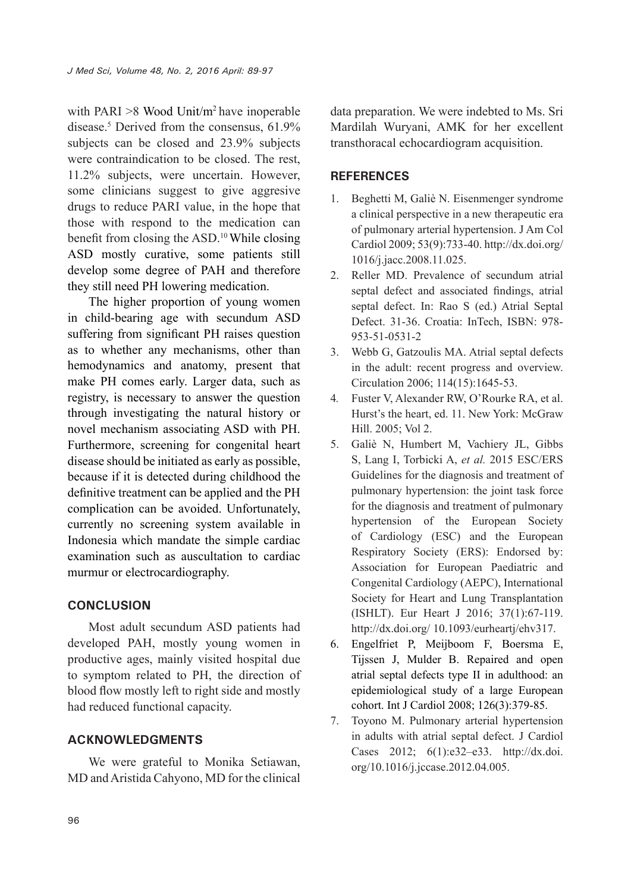with PARI  $>8$  Wood Unit/m<sup>2</sup> have inoperable disease.<sup>5</sup> Derived from the consensus, 61.9% subjects can be closed and 23.9% subjects were contraindication to be closed. The rest, 11.2% subjects, were uncertain. However, some clinicians suggest to give aggresive drugs to reduce PARI value, in the hope that those with respond to the medication can benefit from closing the ASD.10 While closing ASD mostly curative, some patients still develop some degree of PAH and therefore they still need PH lowering medication.

The higher proportion of young women in child-bearing age with secundum ASD suffering from significant PH raises question as to whether any mechanisms, other than hemodynamics and anatomy, present that make PH comes early. Larger data, such as registry, is necessary to answer the question through investigating the natural history or novel mechanism associating ASD with PH. Furthermore, screening for congenital heart disease should be initiated as early as possible, because if it is detected during childhood the definitive treatment can be applied and the PH complication can be avoided. Unfortunately, currently no screening system available in Indonesia which mandate the simple cardiac examination such as auscultation to cardiac murmur or electrocardiography.

## **CONCLUSION**

Most adult secundum ASD patients had developed PAH, mostly young women in productive ages, mainly visited hospital due to symptom related to PH, the direction of blood flow mostly left to right side and mostly had reduced functional capacity.

## **ACKNOWLEDGMENTS**

We were grateful to Monika Setiawan, MD and Aristida Cahyono, MD for the clinical data preparation. We were indebted to Ms. Sri Mardilah Wuryani, AMK for her excellent transthoracal echocardiogram acquisition.

## **REFERENCES**

- 1. Beghetti M, Galiè N. Eisenmenger syndrome a clinical perspective in a new therapeutic era of pulmonary arterial hypertension. J Am Col Cardiol 2009; 53(9):733-40. http://dx.doi.org/ 1016/j.jacc.2008.11.025.
- 2. Reller MD. Prevalence of secundum atrial septal defect and associated findings, atrial septal defect. In: Rao S (ed.) Atrial Septal Defect. 31-36. Croatia: InTech, ISBN: 978- 953-51-0531-2
- 3. Webb G, Gatzoulis MA. Atrial septal defects in the adult: recent progress and overview. Circulation 2006; 114(15):1645-53.
- 4*.* Fuster V, Alexander RW, O'Rourke RA, et al. Hurst's the heart, ed. 11. New York: McGraw Hill. 2005; Vol 2.
- 5. Galiè N, Humbert M, Vachiery JL, Gibbs S, Lang I, Torbicki A, *et al.* 2015 ESC/ERS Guidelines for the diagnosis and treatment of pulmonary hypertension: the joint task force for the diagnosis and treatment of pulmonary hypertension of the European Society of Cardiology (ESC) and the European Respiratory Society (ERS): Endorsed by: Association for European Paediatric and Congenital Cardiology (AEPC), International Society for Heart and Lung Transplantation (ISHLT). Eur Heart J 2016; 37(1):67-119. http://dx.doi.org/ 10.1093/eurheartj/ehv317.
- 6. Engelfriet P, Meijboom F, Boersma E, Tijssen J, Mulder B. Repaired and open atrial septal defects type II in adulthood: an epidemiological study of a large European cohort. Int J Cardiol 2008; 126(3):379-85.
- 7. Toyono M. Pulmonary arterial hypertension in adults with atrial septal defect. J Cardiol Cases 2012; 6(1):e32–e33. http://dx.doi. org/10.1016/j.jccase.2012.04.005.